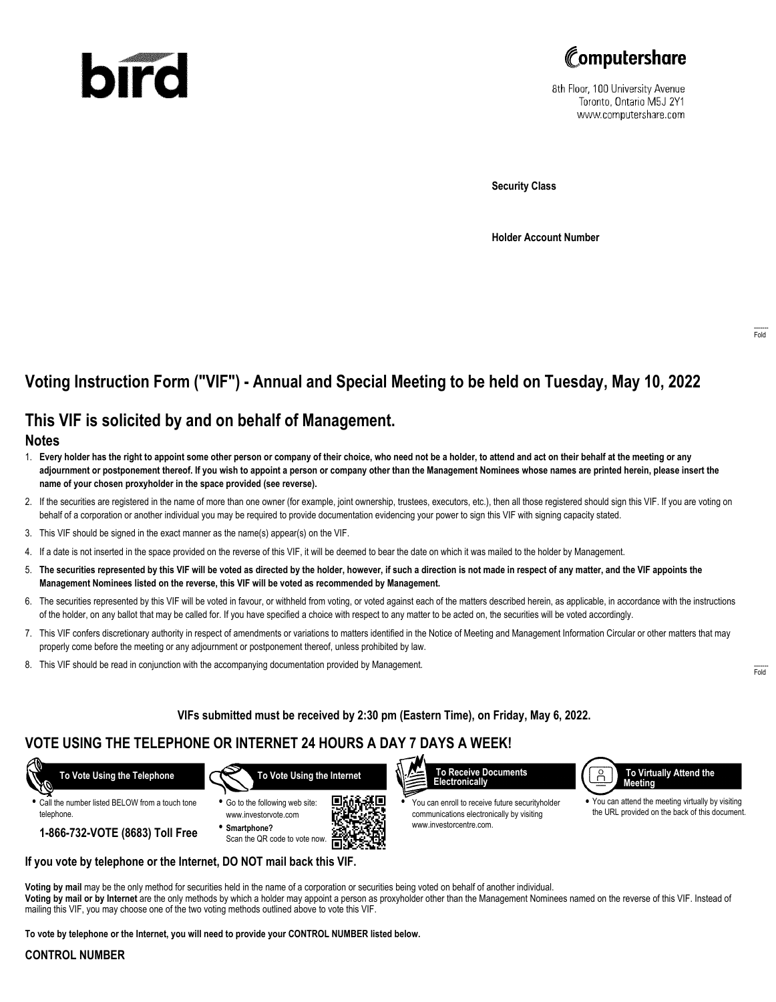# bird



8th Floor, 100 University Avenue Toronto, Ontario M5J 2Y1 www.computershare.com

**Security Class**

**Holder Account Number**

# **Voting Instruction Form ("VIF") - Annual and Special Meeting to be held on Tuesday, May 10, 2022**

## **This VIF is solicited by and on behalf of Management.**

#### **Notes**

- 1. **Every holder has the right to appoint some other person or company of their choice, who need not be a holder, to attend and act on their behalf at the meeting or any adjournment or postponement thereof. If you wish to appoint a person or company other than the Management Nominees whose names are printed herein, please insert the name of your chosen proxyholder in the space provided (see reverse).**
- 2. If the securities are registered in the name of more than one owner (for example, joint ownership, trustees, executors, etc.), then all those registered should sign this VIF. If you are voting on behalf of a corporation or another individual you may be required to provide documentation evidencing your power to sign this VIF with signing capacity stated.
- 3. This VIF should be signed in the exact manner as the name(s) appear(s) on the VIF.
- 4. If a date is not inserted in the space provided on the reverse of this VIF, it will be deemed to bear the date on which it was mailed to the holder by Management.
- 5. **The securities represented by this VIF will be voted as directed by the holder, however, if such a direction is not made in respect of any matter, and the VIF appoints the Management Nominees listed on the reverse, this VIF will be voted as recommended by Management.**
- 6. The securities represented by this VIF will be voted in favour, or withheld from voting, or voted against each of the matters described herein, as applicable, in accordance with the instructions of the holder, on any ballot that may be called for. If you have specified a choice with respect to any matter to be acted on, the securities will be voted accordingly.
- 7. This VIF confers discretionary authority in respect of amendments or variations to matters identified in the Notice of Meeting and Management Information Circular or other matters that may properly come before the meeting or any adjournment or postponement thereof, unless prohibited by law.
- 8. This VIF should be read in conjunction with the accompanying documentation provided by Management.

#### **VIFs submitted must be received by 2:30 pm (Eastern Time), on Friday, May 6, 2022.**

## **VOTE USING THE TELEPHONE OR INTERNET 24 HOURS A DAY 7 DAYS A WEEK!**

 **To Vote Using the Telephone**

**•** Call the number listed BELOW from a touch tone telephone.

- 
- **1-866-732-VOTE (8683) Toll Free**







**•** You can enroll to receive future securityholder communications electronically by visiting www.investorcentre.com.



**•** You can attend the meeting virtually by visiting the URL provided on the back of this document.

**If you vote by telephone or the Internet, DO NOT mail back this VIF.**

**Voting by mail** may be the only method for securities held in the name of a corporation or securities being voted on behalf of another individual. **Voting by mail or by Internet** are the only methods by which a holder may appoint a person as proxyholder other than the Management Nominees named on the reverse of this VIF. Instead of mailing this VIF, you may choose one of the two voting methods outlined above to vote this VIF.

**To vote by telephone or the Internet, you will need to provide your CONTROL NUMBER listed below.**

#### **CONTROL NUMBER**